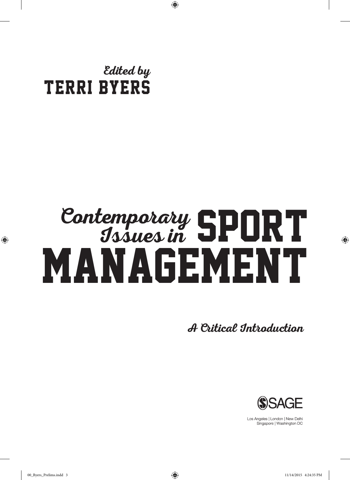# Terri Byers Edited by

# MANAGEMENT Contemporary **SPORT**

 $\bigoplus$ 

A Critical Introduction



Los Angeles | London | New Delhi Singapore | Washington DC

⊕

 $\bigoplus$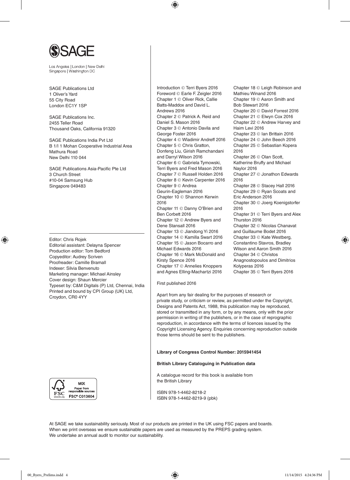

Los Angeles | London | New Delhi Singapore | Washington DC

SAGE Publications Ltd 1 Oliver's Yard 55 City Road London EC1Y 1SP

SAGE Publications Inc. 2455 Teller Road Thousand Oaks, California 91320

SAGE Publications India Pvt Ltd B 1/I 1 Mohan Cooperative Industrial Area Mathura Road New Delhi 110 044

SAGE Publications Asia-Pacific Pte Ltd 3 Church Street #10-04 Samsung Hub Singapore 049483

#### Editor: Chris Rojek

⊕

Editorial assistant: Delayna Spencer Production editor: Tom Bedford Copyeditor: Audrey Scriven Proofreader: Camille Bramall Indexer: Silvia Benvenuto Marketing manager: Michael Ainsley Cover design: Shaun Mercier Typeset by: C&M Digitals (P) Ltd, Chennai, India Printed and bound by CPI Group (UK) Ltd, Croydon, CR0 4YY



Introduction © Terri Byers 2016 Foreword © Earle F. Zeigler 2016 Chapter 1 © Oliver Rick, Callie Batts-Maddox and David L. Andrews 2016 Chapter 2 © Patrick A. Reid and Daniel S. Mason 2016 Chapter 3 © Antonio Davila and George Foster 2016 Chapter 4 © Wladimir Andreff 2016 Chapter 5 © Chris Gratton, Donfeng Liu, Girish Ramchandani and Darryl Wilson 2016 Chapter 6 Gabriela Tymowski, Terri Byers and Fred Mason 2016 Chapter 7 © Russell Holden 2016 Chapter 8 © Kevin Carpenter 2016 Chapter 9 © Andrea Geurin-Eagleman 2016 Chapter 10 © Shannon Kerwin 2016 Chapter 11 © Danny O'Brien and Ben Corbett 2016 Chapter 12 © Andrew Byers and Dene Stansall 2016 Chapter 13 © Jiandong Yi 2016 Chapter 14 © Kamilla Swart 2016 Chapter 15 © Jason Bocarro and Michael Edwards 2016 Chapter 16 © Mark McDonald and Kirsty Spence 2016 Chapter 17 © Annelies Knoppers and Agnes Elling-Machartzi 2016

First published 2016

Eric Anderson 2016 Chapter 30 © Joerg Koenigstorfer 2016 Chapter 31 © Terri Byers and Alex Thurston 2016 Chapter 32 © Nicolas Chanavat and Guillaume Bodet 2016 Chapter 33 © Kate Westberg Constantino Stavros, Bradley Wilson and Aaron Smith 2016 Chapter 34 © Christos Anagnostopoulos and Dimitrios Kolyperas 2016 Chapter 35 © Terri Byers 2016 Apart from any fair dealing for the purposes of research or private study, or criticism or review, as permitted under the Copyright, Designs and Patents Act, 1988, this publication may be reproduced.

Chapter 18 © Leigh Robinson and

Chapter 20 © David Forrest 2016 Chapter 21 © Elwyn Cox 2016 Chapter 22 © Andrew Harvey and

Chapter 23 © Ian Brittain 2016 Chapter 24 © John Beech 2016 Chapter 25 © Sebastian Kopera

Chapter 27 © Jonathon Edwards

Chapter 28 © Stacey Hall 2016 Chapter 29 © Ryan Scoats and

Chapter 26 © Olan Scott, Katherine Bruffy and Michael

Mathieu Winand 2016 Chapter 19 © Aaron Smith and

Bob Stewart 2016

Haim Levi 2016

2016

2016

Naylor 2016

stored or transmitted in any form, or by any means, only with the prior permission in writing of the publishers, or in the case of reprographic reproduction, in accordance with the terms of licences issued by the Copyright Licensing Agency. Enquiries concerning reproduction outside those terms should be sent to the publishers.

#### **Library of Congress Control Number: 2015941454**

#### **British Library Cataloguing in Publication data**

A catalogue record for this book is available from the British Library

ISBN 978-1-4462-8218-2 ISBN 978-1-4462-8219-9 (pbk)

At SAGE we take sustainability seriously. Most of our products are printed in the UK using FSC papers and boards. When we print overseas we ensure sustainable papers are used as measured by the PREPS grading system. We undertake an annual audit to monitor our sustainability.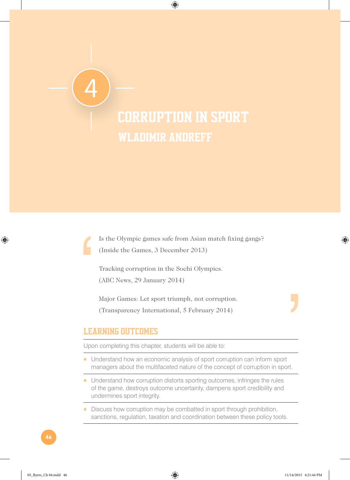# CORRUPTION IN SPORT WLADIMIR ANDREFF

 $\bigoplus$ 

 $\overline{\phantom{a}}$ Is the Olympic games safe from Asian match fixing gangs? (Inside the Games, 3 December 2013)

Tracking corruption in the Sochi Olympics. (ABC News, 29 January 2014)

Major Games: Let sport triumph, not corruption. (Transparency International, 5 February 2014)

## LEARNING OUTCOMES

4

Upon completing this chapter, students will be able to:

- **)**<br>
<br>
<br>
<br>
<br>
<br>
<br> • Understand how an economic analysis of sport corruption can inform sport managers about the multifaceted nature of the concept of corruption in sport.
- Understand how corruption distorts sporting outcomes, infringes the rules of the game, destroys outcome uncertainty, dampens sport credibility and undermines sport integrity.
- Discuss how corruption may be combatted in sport through prohibition, sanctions, regulation, taxation and coordination between these policy tools.

⊕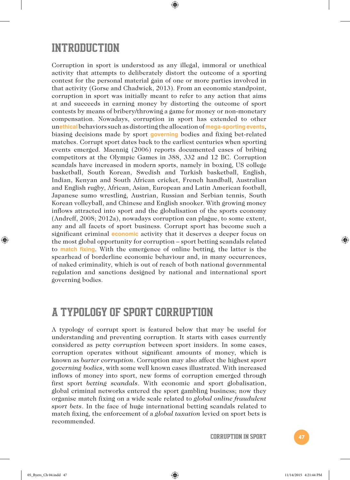# INTRODUCTION

Corruption in sport is understood as any illegal, immoral or unethical activity that attempts to deliberately distort the outcome of a sporting contest for the personal material gain of one or more parties involved in that activity (Gorse and Chadwick, 2013). From an economic standpoint, corruption in sport was initially meant to refer to any action that aims at and succeeds in earning money by distorting the outcome of sport contests by means of bribery/throwing a game for money or non-monetary compensation. Nowadays, corruption in sport has extended to other un**ethical** behaviors such as distorting the allocation of **mega-sporting events**, biasing decisions made by sport **governing** bodies and fixing bet-related matches. Corrupt sport dates back to the earliest centuries when sporting events emerged. Maennig (2006) reports documented cases of bribing competitors at the Olympic Games in 388, 332 and 12 BC. Corruption scandals have increased in modern sports, namely in boxing, US college basketball, South Korean, Swedish and Turkish basketball, English, Indian, Kenyan and South African cricket, French handball, Australian and English rugby, African, Asian, European and Latin American football, Japanese sumo wrestling, Austrian, Russian and Serbian tennis, South Korean volleyball, and Chinese and English snooker. With growing money inflows attracted into sport and the globalisation of the sports economy (Andreff, 2008; 2012a), nowadays corruption can plague, to some extent, any and all facets of sport business. Corrupt sport has become such a significant criminal **economic** activity that it deserves a deeper focus on the most global opportunity for corruption – sport betting scandals related to **match fixing**. With the emergence of online betting, the latter is the spearhead of borderline economic behaviour and, in many occurrences, of naked criminality, which is out of reach of both national governmental regulation and sanctions designed by national and international sport governing bodies.

⊕

# A TYPOLOGY OF SPORT CORRUPTION

A typology of corrupt sport is featured below that may be useful for understanding and preventing corruption. It starts with cases currently considered as *petty corruption* between sport insiders. In some cases, corruption operates without significant amounts of money, which is known as *barter corruption*. Corruption may also affect the highest *sport governing bodies*, with some well known cases illustrated. With increased inflows of money into sport, new forms of corruption emerged through first sport *betting scandals*. With economic and sport globalisation, global criminal networks entered the sport gambling business; now they organise match fixing on a wide scale related to *global online fraudulent sport bets*. In the face of huge international betting scandals related to match fixing, the enforcement of a *global taxation* levied on sport bets is recommended.

CORRUPTION IN SPORT **47**

⊕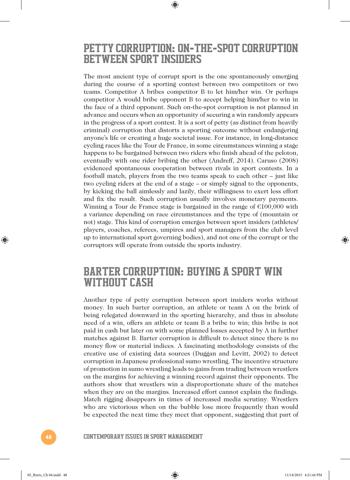## PETTY CORRUPTION: ON-THE-SPOT CORRUPTION BETWEEN SPORT INSIDERS

⊕

The most ancient type of corrupt sport is the one spontaneously emerging during the course of a sporting contest between two competitors or two teams. Competitor A bribes competitor B to let him/her win. Or perhaps competitor A would bribe opponent B to accept helping him/her to win in the face of a third opponent. Such on-the-spot corruption is not planned in advance and occurs when an opportunity of securing a win randomly appears in the progress of a sport contest. It is a sort of petty (as distinct from heavily criminal) corruption that distorts a sporting outcome without endangering anyone's life or creating a huge societal issue. For instance, in long-distance cycling races like the Tour de France, in some circumstances winning a stage happens to be bargained between two riders who finish ahead of the peloton, eventually with one rider bribing the other (Andreff, 2014). Caruso (2008) evidenced spontaneous cooperation between rivals in sport contests. In a football match, players from the two teams speak to each other – just like two cycling riders at the end of a stage – or simply signal to the opponents, by kicking the ball aimlessly and lazily, their willingness to exert less effort and fix the result. Such corruption usually involves monetary payments. Winning a Tour de France stage is bargained in the range of €100,000 with a variance depending on race circumstances and the type of (mountain or not) stage. This kind of corruption emerges between sport insiders (athletes/ players, coaches, referees, umpires and sport managers from the club level up to international sport governing bodies), and not one of the corrupt or the corruptors will operate from outside the sports industry.

# BARTER CORRUPTION: BUYING A SPORT WIN WITHOUT CASH

Another type of petty corruption between sport insiders works without money. In such barter corruption, an athlete or team A on the brink of being relegated downward in the sporting hierarchy, and thus in absolute need of a win, offers an athlete or team B a bribe to win; this bribe is not paid in cash but later on with some planned losses accepted by A in further matches against B. Barter corruption is difficult to detect since there is no money flow or material indices. A fascinating methodology consists of the creative use of existing data sources (Duggan and Levitt, 2002) to detect corruption in Japanese professional sumo wrestling. The incentive structure of promotion in sumo wrestling leads to gains from trading between wrestlers on the margins for achieving a winning record against their opponents. The authors show that wrestlers win a disproportionate share of the matches when they are on the margins. Increased effort cannot explain the findings. Match rigging disappears in times of increased media scrutiny. Wrestlers who are victorious when on the bubble lose more frequently than would be expected the next time they meet that opponent, suggesting that part of

**48 CONTEMPORARY ISSUES IN SPORT MANAGEMENT** 

♠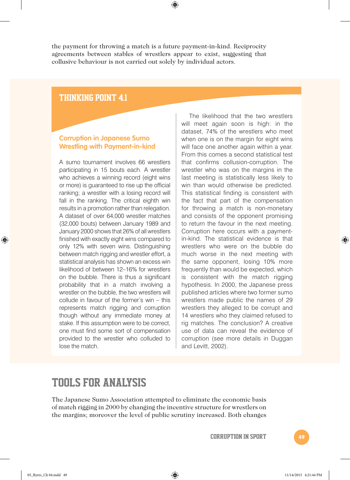the payment for throwing a match is a future payment-in-kind. Reciprocity agreements between stables of wrestlers appear to exist, suggesting that collusive behaviour is not carried out solely by individual actors.

 $\textcircled{\scriptsize{*}}$ 

## THINKING POINT 4.1

#### **Corruption in Japanese Sumo Wrestling with Payment-in-kind**

A sumo tournament involves 66 wrestlers participating in 15 bouts each. A wrestler who achieves a winning record (eight wins or more) is guaranteed to rise up the official ranking; a wrestler with a losing record will fall in the ranking. The critical eighth win results in a promotion rather than relegation. A dataset of over 64,000 wrestler matches (32,000 bouts) between January 1989 and January 2000 shows that 26% of all wrestlers finished with exactly eight wins compared to only 12% with seven wins. Distinguishing between match rigging and wrestler effort, a statistical analysis has shown an excess win likelihood of between 12–16% for wrestlers on the bubble. There is thus a significant probability that in a match involving a wrestler on the bubble, the two wrestlers will collude in favour of the former's win – this represents match rigging and corruption though without any immediate money at stake. If this assumption were to be correct, one must find some sort of compensation provided to the wrestler who colluded to lose the match.

The likelihood that the two wrestlers will meet again soon is high: in the dataset, 74% of the wrestlers who meet when one is on the margin for eight wins will face one another again within a year. From this comes a second statistical test that confirms collusion-corruption. The wrestler who was on the margins in the last meeting is statistically less likely to win than would otherwise be predicted. This statistical finding is consistent with the fact that part of the compensation for throwing a match is non-monetary and consists of the opponent promising to return the favour in the next meeting. Corruption here occurs with a paymentin-kind. The statistical evidence is that wrestlers who were on the bubble do much worse in the next meeting with the same opponent, losing 10% more frequently than would be expected, which is consistent with the match rigging hypothesis. In 2000, the Japanese press published articles where two former sumo wrestlers made public the names of 29 wrestlers they alleged to be corrupt and 14 wrestlers who they claimed refused to rig matches. The conclusion? A creative use of data can reveal the evidence of corruption (see more details in Duggan and Levitt, 2002).

# TOOLS FOR ANALYSIS

The Japanese Sumo Association attempted to eliminate the economic basis of match rigging in 2000 by changing the incentive structure for wrestlers on the margins; moreover the level of public scrutiny increased. Both changes

CORRUPTION IN SPORT **49**

♠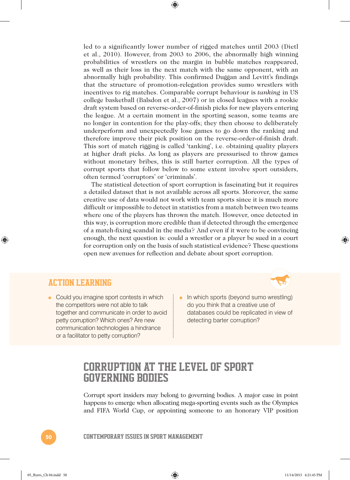led to a significantly lower number of rigged matches until 2003 (Dietl et al., 2010). However, from 2003 to 2006, the abnormally high winning probabilities of wrestlers on the margin in bubble matches reappeared, as well as their loss in the next match with the same opponent, with an abnormally high probability. This confirmed Duggan and Levitt's findings that the structure of promotion-relegation provides sumo wrestlers with incentives to rig matches. Comparable corrupt behaviour is *tanking* in US college basketball (Balsdon et al., 2007) or in closed leagues with a rookie draft system based on reverse-order-of-finish picks for new players entering the league. At a certain moment in the sporting season, some teams are no longer in contention for the play-offs; they then choose to deliberately underperform and unexpectedly lose games to go down the ranking and therefore improve their pick position on the reverse-order-of-finish draft. This sort of match rigging is called 'tanking', i.e. obtaining quality players at higher draft picks. As long as players are pressurised to throw games without monetary bribes, this is still barter corruption. All the types of corrupt sports that follow below to some extent involve sport outsiders, often termed 'corruptors' or 'criminals'.

⊕

The statistical detection of sport corruption is fascinating but it requires a detailed dataset that is not available across all sports. Moreover, the same creative use of data would not work with team sports since it is much more difficult or impossible to detect in statistics from a match between two teams where one of the players has thrown the match. However, once detected in this way, is corruption more credible than if detected through the emergence of a match-fixing scandal in the media? And even if it were to be convincing enough, the next question is: could a wrestler or a player be sued in a court for corruption only on the basis of such statistical evidence? These questions open new avenues for reflection and debate about sport corruption.

#### Action Learning

♠

● Could you imagine sport contests in which the competitors were not able to talk together and communicate in order to avoid petty corruption? Which ones? Are new communication technologies a hindrance or a facilitator to petty corruption?

In which sports (beyond sumo wrestling) do you think that a creative use of databases could be replicated in view of detecting barter corruption?

## CORRUPTION AT THE LEVEL OF SPORT GOVERNING BODIES

Corrupt sport insiders may belong to governing bodies. A major case in point happens to emerge when allocating mega-sporting events such as the Olympics and FIFA World Cup, or appointing someone to an honorary VIP position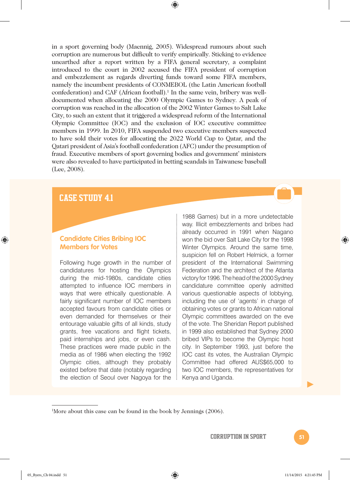in a sport governing body (Maennig, 2005). Widespread rumours about such corruption are numerous but difficult to verify empirically. Sticking to evidence unearthed after a report written by a FIFA general secretary, a complaint introduced to the court in 2002 accused the FIFA president of corruption and embezzlement as regards diverting funds toward some FIFA members, namely the incumbent presidents of CONMEBOL (the Latin American football confederation) and CAF (African football).<sup>1</sup> In the same vein, bribery was welldocumented when allocating the 2000 Olympic Games to Sydney. A peak of corruption was reached in the allocation of the 2002 Winter Games to Salt Lake City, to such an extent that it triggered a widespread reform of the International Olympic Committee (IOC) and the exclusion of IOC executive committee members in 1999. In 2010, FIFA suspended two executive members suspected to have sold their votes for allocating the 2022 World Cup to Qatar, and the Qatari president of Asia's football confederation (AFC) under the presumption of fraud. Executive members of sport governing bodies and government' ministers were also revealed to have participated in betting scandals in Taiwanese baseball (Lee, 2008).

⊕

#### Case Study 4.1

⊕

#### **Candidate Cities Bribing IOC Members for Votes**

Following huge growth in the number of candidatures for hosting the Olympics during the mid-1980s, candidate cities attempted to influence IOC members in ways that were ethically questionable. A fairly significant number of IOC members accepted favours from candidate cities or even demanded for themselves or their entourage valuable gifts of all kinds, study grants, free vacations and flight tickets, paid internships and jobs, or even cash. These practices were made public in the media as of 1986 when electing the 1992 Olympic cities, although they probably existed before that date (notably regarding the election of Seoul over Nagoya for the 1988 Games) but in a more undetectable way. Illicit embezzlements and bribes had already occurred in 1991 when Nagano won the bid over Salt Lake City for the 1998 Winter Olympics. Around the same time, suspicion fell on Robert Helmick, a former president of the International Swimming Federation and the architect of the Atlanta victory for 1996. The head of the 2000 Sydney candidature committee openly admitted various questionable aspects of lobbying, including the use of 'agents' in charge of obtaining votes or grants to African national Olympic committees awarded on the eve of the vote. The Sheridan Report published in 1999 also established that Sydney 2000 bribed VIPs to become the Olympic host city. In September 1993, just before the IOC cast its votes, the Australian Olympic Committee had offered AUS\$65,000 to two IOC members, the representatives for Kenya and Uganda.

CORRUPTION IN SPORT **51**

<sup>&</sup>lt;sup>1</sup>More about this case can be found in the book by Jennings (2006).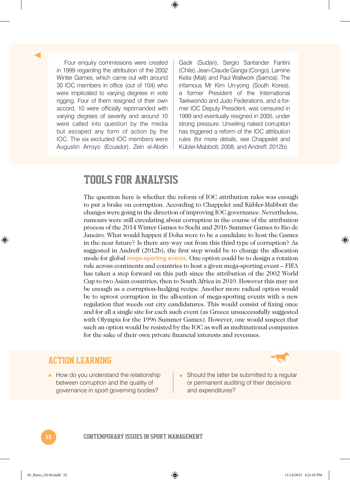Four enquiry commissions were created in 1999 regarding the attribution of the 2002 Winter Games, which came out with around 30 IOC members in office (out of 104) who were implicated to varying degrees in vote rigging. Four of them resigned of their own accord, 10 were officially reprimanded with varying degrees of severity and around 10 were called into question by the media but escaped any form of action by the IOC. The six excluded IOC members were Augustin Arroyo (Ecuador), Zein el-Abdin

Gadir (Sudan), Sergio Santander Fantini (Chile), Jean-Claude Ganga (Congo), Lamine Keita (Mali) and Paul Wallwork (Samoa). The infamous Mr Kim Un-yong (South Korea), a former President of the International Taekwondo and Judo Federations, and a former IOC Deputy President, was censured in 1999 and eventually resigned in 2005, under strong pressure. Unveiling naked corruption has triggered a reform of the IOC attribution rules (for more details, see Chappelet and Kübler-Mabbott, 2008, and Andreff, 2012b).

## TOOLS FOR ANALYSIS

The question here is whether the reform of IOC attribution rules was enough to put a brake on corruption. According to Chappelet and Kübler-Mabbott the changes were going in the direction of improving IOC governance. Nevertheless, rumours were still circulating about corruption in the course of the attribution process of the 2014 Winter Games to Sochi and 2016 Summer Games to Rio de Janeiro. What would happen if Doha were to be a candidate to host the Games in the near future? Is there any way out from this third type of corruption? As suggested in Andreff (2012b), the first step would be to change the allocation mode for global **mega-sporting events**. One option could be to design a rotation rule across continents and countries to host a given mega-sporting event – FIFA has taken a step forward on this path since the attribution of the 2002 World Cup to two Asian countries, then to South Africa in 2010. However this may not be enough as a corruption-hedging recipe. Another more radical option would be to uproot corruption in the allocation of mega-sporting events with a new regulation that weeds out city candidatures. This would consist of fixing once and for all a single site for each such event (as Greece unsuccessfully suggested with Olympia for the 1996 Summer Games). However, one would suspect that such an option would be resisted by the IOC as well as multinational companies for the sake of their own private financial interests and revenues.

⊕

## Action Learning

- How do you understand the relationship between corruption and the quality of governance in sport governing bodies?
- Should the latter be submitted to a regular or permanent auditing of their decisions and expenditures?

♠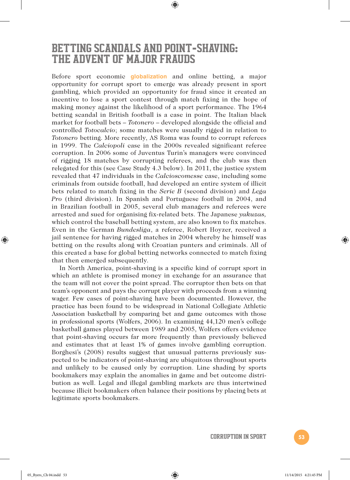## BETTING SCANDALS AND POINT-SHAVING: THE ADVENT OF MAJOR FRAUDS

⊕

Before sport economic **globalization** and online betting, a major opportunity for corrupt sport to emerge was already present in sport gambling, which provided an opportunity for fraud since it created an incentive to lose a sport contest through match fixing in the hope of making money against the likelihood of a sport performance. The 1964 betting scandal in British football is a case in point. The Italian black market for football bets – *Totonero* – developed alongside the official and controlled *Totocalcio*; some matches were usually rigged in relation to *Totonero* betting. More recently, AS Roma was found to corrupt referees in 1999. The *Calciopoli* case in the 2000s revealed significant referee corruption. In 2006 some of Juventus Turin's managers were convinced of rigging 18 matches by corrupting referees, and the club was then relegated for this (see Case Study 4.3 below). In 2011, the justice system revealed that 47 individuals in the *Calcioscomesse* case, including some criminals from outside football, had developed an entire system of illicit bets related to match fixing in the *Serie B* (second division) and *Lega Pro* (third division). In Spanish and Portuguese football in 2004, and in Brazilian football in 2005, several club managers and referees were arrested and sued for organising fix-related bets. The Japanese *yakuzas,* which control the baseball betting system, are also known to fix matches. Even in the German *Bundesliga*, a referee, Robert Hoyzer, received a jail sentence for having rigged matches in 2004 whereby he himself was betting on the results along with Croatian punters and criminals. All of this created a base for global betting networks connected to match fixing that then emerged subsequently.

In North America, point-shaving is a specific kind of corrupt sport in which an athlete is promised money in exchange for an assurance that the team will not cover the point spread. The corruptor then bets on that team's opponent and pays the corrupt player with proceeds from a winning wager. Few cases of point-shaving have been documented. However, the practice has been found to be widespread in National Collegiate Athletic Association basketball by comparing bet and game outcomes with those in professional sports (Wolfers, 2006). In examining 44,120 men's college basketball games played between 1989 and 2005, Wolfers offers evidence that point-shaving occurs far more frequently than previously believed and estimates that at least 1% of games involve gambling corruption. Borghesi's (2008) results suggest that unusual patterns previously suspected to be indicators of point-shaving are ubiquitous throughout sports and unlikely to be caused only by corruption. Line shading by sports bookmakers may explain the anomalies in game and bet outcome distribution as well. Legal and illegal gambling markets are thus intertwined because illicit bookmakers often balance their positions by placing bets at legitimate sports bookmakers.

♠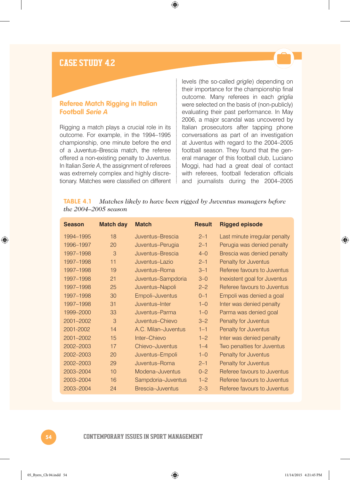## Case Study 4.2

#### **Referee Match Rigging in Italian Football Serie A**

Rigging a match plays a crucial role in its outcome. For example, in the 1994–1995 championship, one minute before the end of a Juventus–Brescia match, the referee offered a non-existing penalty to Juventus. In Italian *Serie A*, the assignment of referees was extremely complex and highly discretionary. Matches were classified on different : and journalists during the 2004–2005

levels (the so-called *griglie*) depending on their importance for the championship final outcome. Many referees in each *griglia* were selected on the basis of (non-publicly) evaluating their past performance. In May 2006, a major scandal was uncovered by Italian prosecutors after tapping phone conversations as part of an investigation at Juventus with regard to the 2004–2005 football season. They found that the general manager of this football club, Luciano Moggi, had had a great deal of contact with referees, football federation officials

|                          | <b>TABLE 4.1</b> Matches likely to have been rigged by Juventus managers before |  |  |  |
|--------------------------|---------------------------------------------------------------------------------|--|--|--|
| the $2004 - 2005$ season |                                                                                 |  |  |  |

 $\bigoplus$ 

| <b>Season</b> | <b>Match day</b> | <b>Match</b>        | <b>Result</b> | <b>Rigged episode</b>         |
|---------------|------------------|---------------------|---------------|-------------------------------|
| 1994-1995     | 18               | Juventus-Brescia    | $2 - 1$       | Last minute irregular penalty |
| 1996-1997     | 20               | Juventus-Perugia    | $2 - 1$       | Perugia was denied penalty    |
| 1997-1998     | 3                | Juventus-Brescia    | $4 - 0$       | Brescia was denied penalty    |
| 1997-1998     | 11               | Juventus-Lazio      | $2 - 1$       | Penalty for Juventus          |
| 1997-1998     | 19               | Juventus-Roma       | $3 - 1$       | Referee favours to Juventus   |
| 1997-1998     | 21               | Juventus-Sampdoria  | $3 - 0$       | Inexistent goal for Juventus  |
| 1997-1998     | 25               | Juventus-Napoli     | $2 - 2$       | Referee favours to Juventus   |
| 1997-1998     | 30               | Empoli-Juventus     | $0 - 1$       | Empoli was denied a goal      |
| 1997-1998     | 31               | Juventus-Inter      | $1 - 0$       | Inter was denied penalty      |
| 1999-2000     | 33               | Juventus-Parma      | $1 - 0$       | Parma was denied goal         |
| 2001-2002     | 3                | Juventus-Chievo     | $3 - 2$       | Penalty for Juventus          |
| 2001-2002     | 14               | A.C. Milan-Juventus | $1 - 1$       | Penalty for Juventus          |
| 2001-2002     | 15               | Inter-Chievo        | $1 - 2$       | Inter was denied penalty      |
| 2002-2003     | 17               | Chievo-Juventus     | $1 - 4$       | Two penalties for Juventus    |
| 2002-2003     | 20               | Juventus-Empoli     | $1 - 0$       | Penalty for Juventus          |
| 2002-2003     | 29               | Juventus-Roma       | $2 - 1$       | Penalty for Juventus          |
| 2003-2004     | 10               | Modena-Juventus     | $0 - 2$       | Referee favours to Juventus   |
| 2003-2004     | 16               | Sampdoria-Juventus  | $1 - 2$       | Referee favours to Juventus   |
| 2003-2004     | 24               | Brescia-Juventus    | $2 - 3$       | Referee favours to Juventus   |

#### **54** CONTEMPORARY ISSUES IN SPORT MANAGEMENT

⊕

◈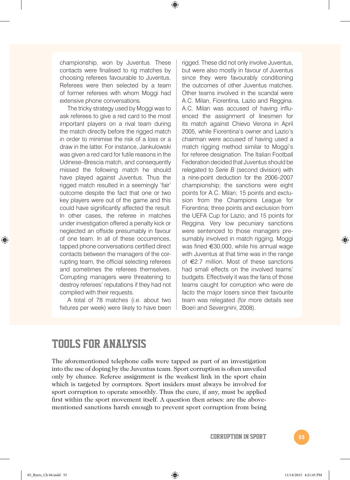championship, won by Juventus. These contacts were finalised to rig matches by choosing referees favourable to Juventus. Referees were then selected by a team of former referees with whom Moggi had extensive phone conversations.

⊕

The tricky strategy used by Moggi was to ask referees to give a red card to the most important players on a rival team during the match directly before the rigged match in order to minimise the risk of a loss or a draw in the latter. For instance, Jankulowski was given a red card for futile reasons in the Udinese–Brescia match, and consequently missed the following match he should have played against Juventus. Thus the rigged match resulted in a seemingly 'fair' outcome despite the fact that one or two key players were out of the game and this could have significantly affected the result. In other cases, the referee in matches under investigation offered a penalty kick or neglected an offside presumably in favour of one team. In all of these occurrences, tapped phone conversations certified direct contacts between the managers of the corrupting team, the official selecting referees and sometimes the referees themselves. Corrupting managers were threatening to destroy referees' reputations if they had not complied with their requests.

A total of 78 matches (i.e. about two fixtures per week) were likely to have been

rigged. These did not only involve Juventus, but were also mostly in favour of Juventus since they were favourably conditioning the outcomes of other Juventus matches. Other teams involved in the scandal were A.C. Milan, Fiorentina, Lazio and Reggina. A.C. Milan was accused of having influenced the assignment of linesmen for its match against Chievo Verona in April 2005, while Fiorentina's owner and Lazio's chairman were accused of having used a match rigging method similar to Moggi's for referee designation. The Italian Football Federation decided that Juventus should be relegated to *Serie B* (second division) with a nine-point deduction for the 2006–2007 championship; the sanctions were eight points for A.C. Milan; 15 points and exclusion from the Champions League for Fiorentina; three points and exclusion from the UEFA Cup for Lazio; and 15 points for Reggina. Very low pecuniary sanctions were sentenced to those managers presumably involved in match rigging. Moggi was fined €30,000, while his annual wage with Juventus at that time was in the range of €2.7 million. Most of these sanctions had small effects on the involved teams' budgets. Effectively it was the fans of those teams caught for corruption who were *de facto* the major losers since their favourite team was relegated (for more details see Boeri and Severgnini, 2008).

## TOOLS FOR ANALYSIS

The aforementioned telephone calls were tapped as part of an investigation into the use of doping by the Juventus team. Sport corruption is often unveiled only by chance. Referee assignment is the weakest link in the sport chain which is targeted by corruptors. Sport insiders must always be involved for sport corruption to operate smoothly. Thus the cure, if any, must be applied first within the sport movement itself. A question then arises: are the abovementioned sanctions harsh enough to prevent sport corruption from being ♠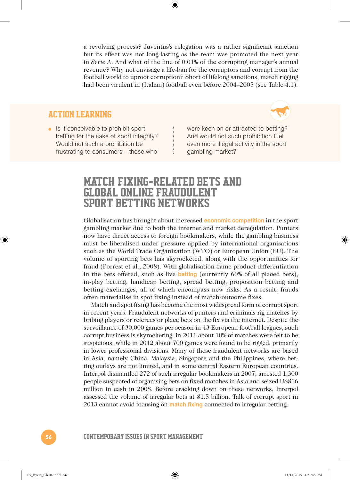a revolving process? Juventus's relegation was a rather significant sanction but its effect was not long-lasting as the team was promoted the next year in *Serie A*. And what of the fine of 0.01% of the corrupting manager's annual revenue? Why not envisage a life-ban for the corruptors and corrupt from the football world to uproot corruption? Short of lifelong sanctions, match rigging had been virulent in (Italian) football even before 2004–2005 (see Table 4.1).

⊕

## Action Learning

● Is it conceivable to prohibit sport betting for the sake of sport integrity? Would not such a prohibition be frustrating to consumers – those who

were keen on or attracted to betting? And would not such prohibition fuel even more illegal activity in the sport gambling market?

## MATCH FIXING-RELATED BETS AND GLOBAL ONLINE FRAUDULENT SPORT BETTING NETWORKS

Globalisation has brought about increased **economic competition** in the sport gambling market due to both the internet and market deregulation. Punters now have direct access to foreign bookmakers, while the gambling business must be liberalised under pressure applied by international organisations such as the World Trade Organization (WTO) or European Union (EU). The volume of sporting bets has skyrocketed, along with the opportunities for fraud (Forrest et al., 2008). With globalisation came product differentiation in the bets offered, such as live **betting** (currently 60% of all placed bets), in-play betting, handicap betting, spread betting, proposition betting and betting exchanges, all of which encompass new risks. As a result, frauds often materialise in spot fixing instead of match-outcome fixes.

Match and spot fixing has become the most widespread form of corrupt sport in recent years. Fraudulent networks of punters and criminals rig matches by bribing players or referees or place bets on the fix via the internet. Despite the surveillance of 30,000 games per season in 43 European football leagues, such corrupt business is skyrocketing: in 2011 about 10% of matches were felt to be suspicious, while in 2012 about 700 games were found to be rigged, primarily in lower professional divisions. Many of these fraudulent networks are based in Asia, namely China, Malaysia, Singapore and the Philippines, where betting outlays are not limited, and in some central Eastern European countries. Interpol dismantled 272 of such irregular bookmakers in 2007, arrested 1,300 people suspected of organising bets on fixed matches in Asia and seized US\$16 million in cash in 2008. Before cracking down on these networks, Interpol assessed the volume of irregular bets at \$1.5 billion. Talk of corrupt sport in 2013 cannot avoid focusing on **match fixing** connected to irregular betting.

#### **56** CONTEMPORARY ISSUES IN SPORT MANAGEMENT

♠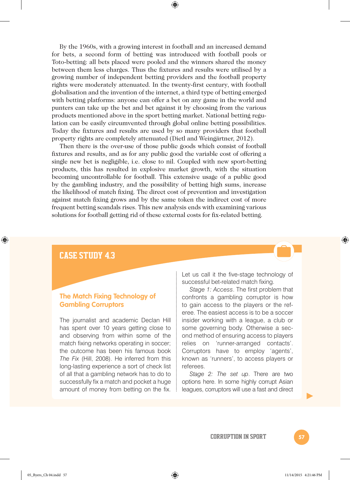By the 1960s, with a growing interest in football and an increased demand for bets, a second form of betting was introduced with football pools or Toto-betting: all bets placed were pooled and the winners shared the money between them less charges. Thus the fixtures and results were utilised by a growing number of independent betting providers and the football property rights were moderately attenuated. In the twenty-first century, with football globalisation and the invention of the internet, a third type of betting emerged with betting platforms: anyone can offer a bet on any game in the world and punters can take up the bet and bet against it by choosing from the various products mentioned above in the sport betting market. National betting regulation can be easily circumvented through global online betting possibilities. Today the fixtures and results are used by so many providers that football property rights are completely attenuated (Dietl and Weingärtner, 2012).

⊕

Then there is the over-use of those public goods which consist of football fixtures and results, and as for any public good the variable cost of offering a single new bet is negligible, i.e. close to nil. Coupled with new sport-betting products, this has resulted in explosive market growth, with the situation becoming uncontrollable for football. This extensive usage of a public good by the gambling industry, and the possibility of betting high sums, increase the likelihood of match fixing. The direct cost of prevention and investigation against match fixing grows and by the same token the indirect cost of more frequent betting scandals rises. This new analysis ends with examining various solutions for football getting rid of these external costs for fix-related betting.

#### Case Study 4.3

⊕

#### **The Match Fixing Technology of Gambling Corruptors**

The journalist and academic Declan Hill has spent over 10 years getting close to and observing from within some of the match fixing networks operating in soccer; the outcome has been his famous book *The Fix* (Hill, 2008). He inferred from this long-lasting experience a sort of check list of all that a gambling network has to do to successfully fix a match and pocket a huge amount of money from betting on the fix.

Let us call it the five-stage technology of successful bet-related match fixing.

*Stage 1: Access*. The first problem that confronts a gambling corruptor is how to gain access to the players or the referee. The easiest access is to be a soccer insider working with a league, a club or some governing body. Otherwise a second method of ensuring access to players relies on 'runner-arranged contacts'. Corruptors have to employ 'agents', known as 'runners', to access players or referees.

*Stage 2: The set up*. There are two options here. In some highly corrupt Asian leagues, corruptors will use a fast and direct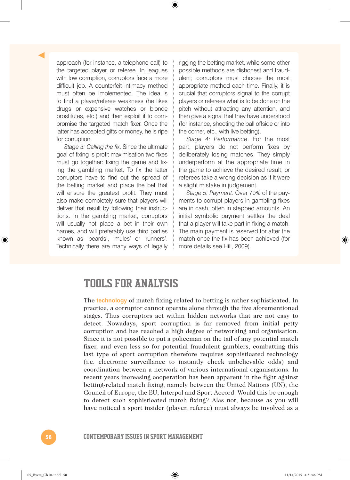approach (for instance, a telephone call) to the targeted player or referee. In leagues with low corruption, corruptors face a more difficult job. A counterfeit intimacy method must often be implemented. The idea is to find a player/referee weakness (he likes drugs or expensive watches or blonde prostitutes, etc.) and then exploit it to compromise the targeted match fixer. Once the latter has accepted gifts or money, he is ripe for corruption.

*Stage 3: Calling the fix*. Since the ultimate goal of fixing is profit maximisation two fixes must go together: fixing the game and fixing the gambling market. To fix the latter corruptors have to find out the spread of the betting market and place the bet that will ensure the greatest profit. They must also make completely sure that players will deliver that result by following their instructions. In the gambling market, corruptors will usually not place a bet in their own names, and will preferably use third parties known as 'beards', 'mules' or 'runners'. Technically there are many ways of legally

rigging the betting market, while some other possible methods are dishonest and fraudulent; corruptors must choose the most appropriate method each time. Finally, it is crucial that corruptors signal to the corrupt players or referees what is to be done on the pitch without attracting any attention, and then give a signal that they have understood (for instance, shooting the ball offside or into the corner, etc., with live betting).

⊕

*Stage 4: Performance*. For the most part, players do not perform fixes by deliberately losing matches. They simply underperform at the appropriate time in the game to achieve the desired result, or referees take a wrong decision as if it were a slight mistake in judgement.

*Stage 5: Payment*. Over 70% of the payments to corrupt players in gambling fixes are in cash, often in stepped amounts. An initial symbolic payment settles the deal that a player will take part in fixing a match. The main payment is reserved for after the match once the fix has been achieved (for more details see Hill, 2009).

## TOOLS FOR ANALYSIS

The **technology** of match fixing related to betting is rather sophisticated. In practice, a corruptor cannot operate alone through the five aforementioned stages. Thus corruptors act within hidden networks that are not easy to detect. Nowadays, sport corruption is far removed from initial petty corruption and has reached a high degree of networking and organisation. Since it is not possible to put a policeman on the tail of any potential match fixer, and even less so for potential fraudulent gamblers, combatting this last type of sport corruption therefore requires sophisticated technology (i.e. electronic surveillance to instantly check unbelievable odds) and coordination between a network of various international organisations. In recent years increasing cooperation has been apparent in the fight against betting-related match fixing, namely between the United Nations (UN), the Council of Europe, the EU, Interpol and Sport Accord. Would this be enough to detect such sophisticated match fixing? Alas not, because as you will have noticed a sport insider (player, referee) must always be involved as a

**58** CONTEMPORARY ISSUES IN SPORT MANAGEMENT

♠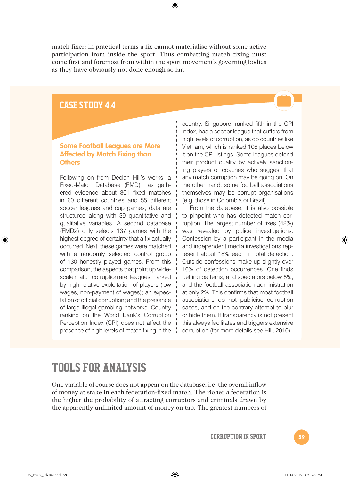match fixer: in practical terms a fix cannot materialise without some active participation from inside the sport. Thus combatting match fixing must come first and foremost from within the sport movement's governing bodies as they have obviously not done enough so far.

⊕

## Case Study 4.4

#### **Some Football Leagues are More Affected by Match Fixing than Others**

Following on from Declan Hill's works, a Fixed-Match Database (FMD) has gathered evidence about 301 fixed matches in 60 different countries and 55 different soccer leagues and cup games; data are structured along with 39 quantitative and qualitative variables. A second database (FMD2) only selects 137 games with the highest degree of certainty that a fix actually occurred. Next, these games were matched with a randomly selected control group of 130 honestly played games. From this comparison, the aspects that point up widescale match corruption are: leagues marked by high relative exploitation of players (low wages, non-payment of wages); an expectation of official corruption; and the presence of large illegal gambling networks. Country ranking on the World Bank's Corruption Perception Index (CPI) does not affect the presence of high levels of match fixing in the country. Singapore, ranked fifth in the CPI index, has a soccer league that suffers from high levels of corruption, as do countries like Vietnam, which is ranked 106 places below it on the CPI listings. Some leagues defend their product quality by actively sanctioning players or coaches who suggest that any match corruption may be going on. On the other hand, some football associations themselves may be corrupt organisations (e.g. those in Colombia or Brazil).

From the database, it is also possible to pinpoint who has detected match corruption. The largest number of fixes (42%) was revealed by police investigations. Confession by a participant in the media and independent media investigations represent about 18% each in total detection. Outside confessions make up slightly over 10% of detection occurrences. One finds betting patterns, and spectators below 5%, and the football association administration at only 2%. This confirms that most football associations do not publicise corruption cases, and on the contrary attempt to blur or hide them. If transparency is not present this always facilitates and triggers extensive corruption (for more details see Hill, 2010).

# TOOLS FOR ANALYSIS

One variable of course does not appear on the database, i.e. the overall inflow of money at stake in each federation-fixed match. The richer a federation is the higher the probability of attracting corruptors and criminals drawn by the apparently unlimited amount of money on tap. The greatest numbers of

CORRUPTION IN SPORT **59**

♠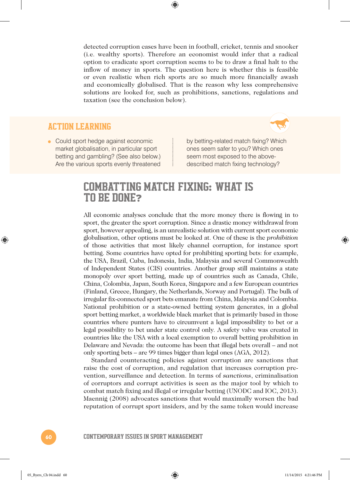⊕

detected corruption cases have been in football, cricket, tennis and snooker (i.e. wealthy sports). Therefore an economist would infer that a radical option to eradicate sport corruption seems to be to draw a final halt to the inflow of money in sports. The question here is whether this is feasible or even realistic when rich sports are so much more financially awash and economically globalised. That is the reason why less comprehensive solutions are looked for, such as prohibitions, sanctions, regulations and taxation (see the conclusion below).

## Action Learning

● Could sport hedge against economic market globalisation, in particular sport betting and gambling? (See also below.) Are the various sports evenly threatened by betting-related match fixing? Which ones seem safer to you? Which ones seem most exposed to the abovedescribed match fixing technology?

## COMBATTING MATCH FIXING: WHAT IS TO BE DONE?

All economic analyses conclude that the more money there is flowing in to sport, the greater the sport corruption. Since a drastic money withdrawal from sport, however appealing, is an unrealistic solution with current sport economic globalisation, other options must be looked at. One of these is the *prohibition* of those activities that most likely channel corruption, for instance sport betting. Some countries have opted for prohibiting sporting bets: for example, the USA, Brazil, Cuba, Indonesia, India, Malaysia and several Commonwealth of Independent States (CIS) countries. Another group still maintains a state monopoly over sport betting, made up of countries such as Canada, Chile, China, Colombia, Japan, South Korea, Singapore and a few European countries (Finland, Greece, Hungary, the Netherlands, Norway and Portugal). The bulk of irregular fix-connected sport bets emanate from China, Malaysia and Colombia. National prohibition or a state-owned betting system generates, in a global sport betting market, a worldwide black market that is primarily based in those countries where punters have to circumvent a legal impossibility to bet or a legal possibility to bet under state control only. A safety valve was created in countries like the USA with a local exemption to overall betting prohibition in Delaware and Nevada: the outcome has been that illegal bets overall – and not only sporting bets – are 99 times bigger than legal ones (AGA, 2012).

Standard counteracting policies against corruption are sanctions that raise the cost of corruption, and regulation that increases corruption prevention, surveillance and detection. In terms of *sanctions*, criminalisation of corruptors and corrupt activities is seen as the major tool by which to combat match fixing and illegal or irregular betting (UNODC and IOC, 2013). Maennig (2008) advocates sanctions that would maximally worsen the bad reputation of corrupt sport insiders, and by the same token would increase

**60** CONTEMPORARY ISSUES IN SPORT MANAGEMENT



♠

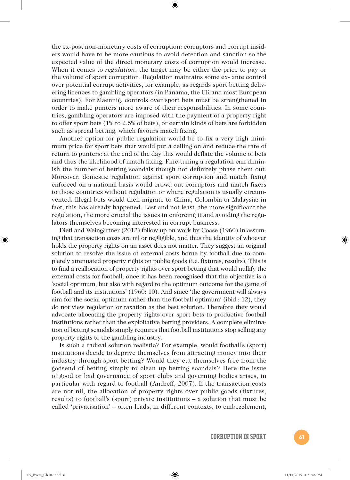the ex-post non-monetary costs of corruption: corruptors and corrupt insiders would have to be more cautious to avoid detection and sanction so the expected value of the direct monetary costs of corruption would increase. When it comes to *regulation*, the target may be either the price to pay or the volume of sport corruption. Regulation maintains some ex- ante control over potential corrupt activities, for example, as regards sport betting delivering licences to gambling operators (in Panama, the UK and most European countries). For Maennig, controls over sport bets must be strengthened in order to make punters more aware of their responsibilities. In some countries, gambling operators are imposed with the payment of a property right to offer sport bets (1% to 2.5% of bets), or certain kinds of bets are forbidden such as spread betting, which favours match fixing.

⊕

Another option for public regulation would be to fix a very high minimum price for sport bets that would put a ceiling on and reduce the rate of return to punters: at the end of the day this would deflate the volume of bets and thus the likelihood of match fixing. Fine-tuning a regulation can diminish the number of betting scandals though not definitely phase them out. Moreover, domestic regulation against sport corruption and match fixing enforced on a national basis would crowd out corruptors and match fixers to those countries without regulation or where regulation is usually circumvented. Illegal bets would then migrate to China, Colombia or Malaysia: in fact, this has already happened. Last and not least, the more significant the regulation, the more crucial the issues in enforcing it and avoiding the regulators themselves becoming interested in corrupt business.

Dietl and Weingärtner (2012) follow up on work by Coase (1960) in assuming that transaction costs are nil or negligible, and thus the identity of whoever holds the property rights on an asset does not matter. They suggest an original solution to resolve the issue of external costs borne by football due to completely attenuated property rights on public goods (i.e. fixtures, results). This is to find a reallocation of property rights over sport betting that would nullify the external costs for football, once it has been recognised that the objective is a 'social optimum, but also with regard to the optimum outcome for the game of football and its institutions' (1960: 10). And since 'the government will always aim for the social optimum rather than the football optimum' (ibid.: 12), they do not view regulation or taxation as the best solution. Therefore they would advocate allocating the property rights over sport bets to productive football institutions rather than the exploitative betting providers. A complete elimination of betting scandals simply requires that football institutions stop selling any property rights to the gambling industry.

Is such a radical solution realistic? For example, would football's (sport) institutions decide to deprive themselves from attracting money into their industry through sport betting? Would they cut themselves free from the godsend of betting simply to clean up betting scandals? Here the issue of good or bad governance of sport clubs and governing bodies arises, in particular with regard to football (Andreff, 2007). If the transaction costs are not nil, the allocation of property rights over public goods (fixtures, results) to football's (sport) private institutions – a solution that must be called 'privatisation' – often leads, in different contexts, to embezzlement,

CORRUPTION IN SPORT **61**

⊕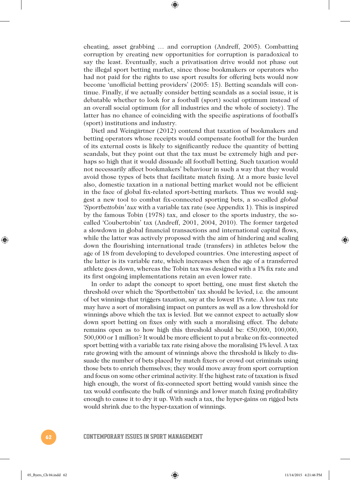cheating, asset grabbing … and corruption (Andreff, 2005). Combatting corruption by creating new opportunities for corruption is paradoxical to say the least. Eventually, such a privatisation drive would not phase out the illegal sport betting market, since those bookmakers or operators who had not paid for the rights to use sport results for offering bets would now become 'unofficial betting providers' (2005: 15). Betting scandals will continue. Finally, if we actually consider betting scandals as a social issue, it is debatable whether to look for a football (sport) social optimum instead of an overall social optimum (for all industries and the whole of society). The latter has no chance of coinciding with the specific aspirations of football's (sport) institutions and industry.

⊕

Dietl and Weingärtner (2012) contend that taxation of bookmakers and betting operators whose receipts would compensate football for the burden of its external costs is likely to significantly reduce the quantity of betting scandals, but they point out that the tax must be extremely high and perhaps so high that it would dissuade all football betting. Such taxation would not necessarily affect bookmakers' behaviour in such a way that they would avoid those types of bets that facilitate match fixing. At a more basic level also, domestic taxation in a national betting market would not be efficient in the face of global fix-related sport-betting markets. Thus we would suggest a new tool to combat fix-connected sporting bets, a so-called *global 'Sportbettobin' tax* with a variable tax rate (see Appendix 1). This is inspired by the famous Tobin (1978) tax, and closer to the sports industry, the socalled 'Coubertobin' tax (Andreff, 2001, 2004, 2010). The former targeted a slowdown in global financial transactions and international capital flows, while the latter was actively proposed with the aim of hindering and scaling down the flourishing international trade (transfers) in athletes below the age of 18 from developing to developed countries. One interesting aspect of the latter is its variable rate, which increases when the age of a transferred athlete goes down, whereas the Tobin tax was designed with a 1% fix rate and its first ongoing implementations retain an even lower rate.

In order to adapt the concept to sport betting, one must first sketch the threshold over which the 'Sportbettobin' tax should be levied, i.e*.* the amount of bet winnings that triggers taxation, say at the lowest 1% rate. A low tax rate may have a sort of moralising impact on punters as well as a low threshold for winnings above which the tax is levied. But we cannot expect to actually slow down sport betting on fixes only with such a moralising effect. The debate remains open as to how high this threshold should be: €50,000, 100,000, 500,000 or 1 million? It would be more efficient to put a brake on fix-connected sport betting with a variable tax rate rising above the moralising 1% level. A tax rate growing with the amount of winnings above the threshold is likely to dissuade the number of bets placed by match fixers or crowd out criminals using those bets to enrich themselves; they would move away from sport corruption and focus on some other criminal activity. If the highest rate of taxation is fixed high enough, the worst of fix-connected sport betting would vanish since the tax would confiscate the bulk of winnings and lower match fixing profitability enough to cause it to dry it up. With such a tax, the hyper-gains on rigged bets would shrink due to the hyper-taxation of winnings.

**62** CONTEMPORARY ISSUES IN SPORT MANAGEMENT

⊕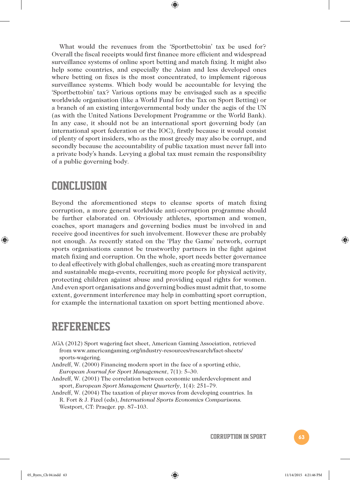What would the revenues from the 'Sportbettobin' tax be used for? Overall the fiscal receipts would first finance more efficient and widespread surveillance systems of online sport betting and match fixing. It might also help some countries, and especially the Asian and less developed ones where betting on fixes is the most concentrated, to implement rigorous surveillance systems. Which body would be accountable for levying the 'Sportbettobin' tax? Various options may be envisaged such as a specific worldwide organisation (like a World Fund for the Tax on Sport Betting) or a branch of an existing intergovernmental body under the aegis of the UN (as with the United Nations Development Programme or the World Bank). In any case, it should not be an international sport governing body (an international sport federation or the IOC), firstly because it would consist of plenty of sport insiders, who as the most greedy may also be corrupt, and secondly because the accountability of public taxation must never fall into a private body's hands. Levying a global tax must remain the responsibility of a public governing body.

⊕

## CONCLUSION

♠

Beyond the aforementioned steps to cleanse sports of match fixing corruption, a more general worldwide anti-corruption programme should be further elaborated on. Obviously athletes, sportsmen and women, coaches, sport managers and governing bodies must be involved in and receive good incentives for such involvement. However these are probably not enough. As recently stated on the 'Play the Game' network, corrupt sports organisations cannot be trustworthy partners in the fight against match fixing and corruption. On the whole, sport needs better governance to deal effectively with global challenges, such as creating more transparent and sustainable mega-events, recruiting more people for physical activity, protecting children against abuse and providing equal rights for women. And even sport organisations and governing bodies must admit that, to some extent, government interference may help in combatting sport corruption, for example the international taxation on sport betting mentioned above.

## REFERENCES

- AGA (2012) Sport wagering fact sheet, American Gaming Association, retrieved from www.americangaming.org/industry-resources/research/fact-sheets/ sports-wagering.
- Andreff, W. (2000) Financing modern sport in the face of a sporting ethic, *European Journal for Sport Management*, 7(1): 5–30.
- Andreff, W. (2001) The correlation between economic underdevelopment and sport, *European Sport Management Quarterly*, 1(4): 251–79.
- Andreff, W. (2004) The taxation of player moves from developing countries. In R. Fort & J. Fizel (eds), *International Sports Economics Comparisons.*  Westport, CT: Praeger. pp. 87–103.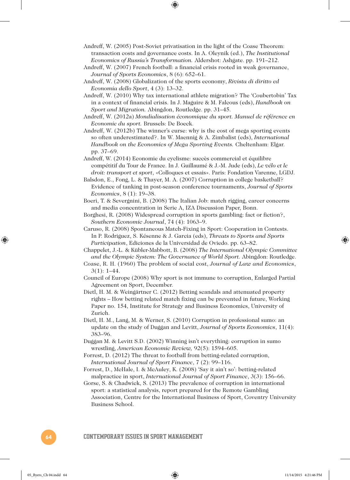- Andreff, W. (2005) Post-Soviet privatisation in the light of the Coase Theorem: transaction costs and governance costs. In A. Oleynik (ed.), *The Institutional Economics of Russia's Transformation.* Aldershot: Ashgate. pp. 191–212.
- Andreff, W. (2007) French football: a financial crisis rooted in weak governance, *Journal of Sports Economics*, 8 (6): 652–61.
- Andreff, W. (2008) Globalization of the sports economy, *Rivista di diritto ed Economia dello Sport*, 4 (3): 13–32.
- Andreff, W. (2010) Why tax international athlete migration? The 'Coubertobin' Tax in a context of financial crisis. In J. Maguire & M. Falcous (eds), *Handbook on Sport and Migration.* Abingdon, Routledge. pp. 31–45.
- Andreff, W. (2012a) *Mondialisation économique du sport. Manuel de référence en Economie du sport.* Brussels: De Boeck.
- Andreff, W. (2012b) The winner's curse: why is the cost of mega sporting events so often underestimated?. In W. Maennig & A. Zimbalist (eds), *International Handbook on the Economics of Mega Sporting Events.* Cheltenham: Elgar. pp. 37–69.
- Andreff, W. (2014) Economie du cyclisme: succès commercial et équilibre compétitif du Tour de France. In J. Guillaumé & J.-M. Jude (eds), *Le vélo et le droit: transport et sport*, «Colloques et essais». Paris: Fondation Varenne, LGDJ.
- Balsdon, E., Fong, L. & Thayer, M. A. (2007) Corruption in college basketball? Evidence of tanking in post-season conference tournaments, *Journal of Sports Economics*, 8 (1): 19–38.
- Boeri, T. & Severgnini, B. (2008) The Italian Job: match rigging, career concerns and media concentration in Serie A, IZA Discussion Paper, Bonn.
- Borghesi, R. (2008) Widespread corruption in sports gambling: fact or fiction?, *Southern Economic Journal*, 74 (4): 1063–9.
- Caruso, R. (2008) Spontaneous Match-Fixing in Sport: Cooperation in Contests. In P. Rodriguez, S. Késenne & J. Garcia (eds), *Threats to Sports and Sports Participation*, Ediciones de la Universidad de Oviedo. pp. 63–82.
- Chappelet, J.-L. & Kübler-Mabbott, B. (2008) *The International Olympic Committee and the Olympic System: The Governance of World Sport.* Abingdon: Routledge.
- Coase, R. H. (1960) The problem of social cost, *Journal of Law and Economics*,  $3(1): 1-44.$
- Council of Europe (2008) Why sport is not immune to corruption, Enlarged Partial Agreement on Sport, December.
- Dietl, H. M. & Weingärtner C. (2012) Betting scandals and attenuated property rights – How betting related match fixing can be prevented in future, Working Paper no. 154, Institute for Strategy and Business Economics, University of Zurich.
- Dietl, H. M., Lang, M. & Werner, S. (2010) Corruption in professional sumo: an update on the study of Duggan and Levitt, *Journal of Sports Economics*, 11(4): 383–96.
- Duggan M. & Levitt S.D. (2002) Winning isn't everything: corruption in sumo wrestling, *American Economic Review,* 92(5): 1594–605.
- Forrest, D. (2012) The threat to football from betting-related corruption, *International Journal of Sport Finance*, 7 (2): 99–116.
- Forrest, D., McHale, I. & McAuley, K. (2008) 'Say it ain't so': betting-related malpractice in sport, *International Journal of Sport Finance*, 3(3): 156–66.
- Gorse, S. & Chadwick, S. (2013) The prevalence of corruption in international sport: a statistical analysis, report prepared for the Remote Gambling Association, Centre for the International Business of Sport, Coventry University Business School.

**64** CONTEMPORARY ISSUES IN SPORT MANAGEMENT

05\_Byers\_Ch 04.indd 64 11/14/2015 4:21:46 PM

⊕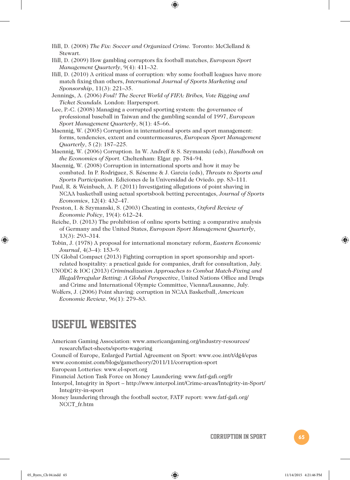Hill, D. (2008) *The Fix: Soccer and Organized Crime.* Toronto: McClelland & Stewart.

⊕

Hill, D. (2009) How gambling corruptors fix football matches, *European Sport Management Quarterly*, 9(4): 411–32.

Hill, D. (2010) A critical mass of corruption: why some football leagues have more match fixing than others, *International Journal of Sports Marketing and Sponsorship*, 11(3): 221–35.

Jennings, A. (2006) *Foul! The Secret World of FIFA: Bribes, Vote Rigging and Ticket Scandals.* London: Harpersport.

Lee, P.-C. (2008) Managing a corrupted sporting system: the governance of professional baseball in Taiwan and the gambling scandal of 1997, *European Sport Management Quarterly*, 8(1): 45–66.

Maennig, W. (2005) Corruption in international sports and sport management: forms, tendencies, extent and countermeasures, *European Sport Management Quarterly*, 5 (2): 187–225.

Maennig, W. (2006) Corruption. In W. Andreff & S. Szymanski (eds), *Handbook on the Economics of Sport.* Cheltenham: Elgar. pp. 784–94.

Maennig, W. (2008) Corruption in international sports and how it may be combated. In P. Rodriguez, S. Késenne & J. Garcia (eds), *Threats to Sports and Sports Participation*. Ediciones de la Universidad de Oviedo. pp. 83–111.

Paul, R. & Weinbach, A. P. (2011) Investigating allegations of point shaving in NCAA basketball using actual sportsbook betting percentages, *Journal of Sports Economics*, 12(4): 432–47.

Preston, I. & Szymanski, S. (2003) Cheating in contests, *Oxford Review of Economic Policy*, 19(4): 612–24.

- Reiche, D. (2013) The prohibition of online sports betting: a comparative analysis of Germany and the United States, *European Sport Management Quarterly*, 13(3): 293–314.
- Tobin, J. (1978) A proposal for international monetary reform, *Eastern Economic Journal*, 4(3–4): 153–9.

UN Global Compact (2013) Fighting corruption in sport sponsorship and sportrelated hospitality: a practical guide for companies, draft for consultation, July.

UNODC & IOC (2013) *Criminalization Approaches to Combat Match-Fixing and Illegal/Irregular Betting: A Global Perspective*, United Nations Office and Drugs and Crime and International Olympic Committee, Vienna/Lausanne, July.

Wolfers, J. (2006) Point shaving: corruption in NCAA Basketball, *American Economic Review*, 96(1): 279–83.

# USEFUL WEBSITES

American Gaming Association: www.americangaming.org/industry-resources/ research/fact-sheets/sports-wagering

Council of Europe, Enlarged Partial Agreement on Sport: www.coe.int/t/dg4/epas www.economist.com/blogs/gametheory/2011/11/corruption-sport

European Lotteries: www.el-sport.org

Financial Action Task Force on Money Laundering: www.fatf-gafi.org/fr

Interpol, Integrity in Sport – http://www.interpol.int/Crime-areas/Integrity-in-Sport/ Integrity-in-sport

Money laundering through the football sector, FATF report: www.fatf-gafi.org/ NCCT\_fr.htm

CORRUPTION IN SPORT **65**

⊕